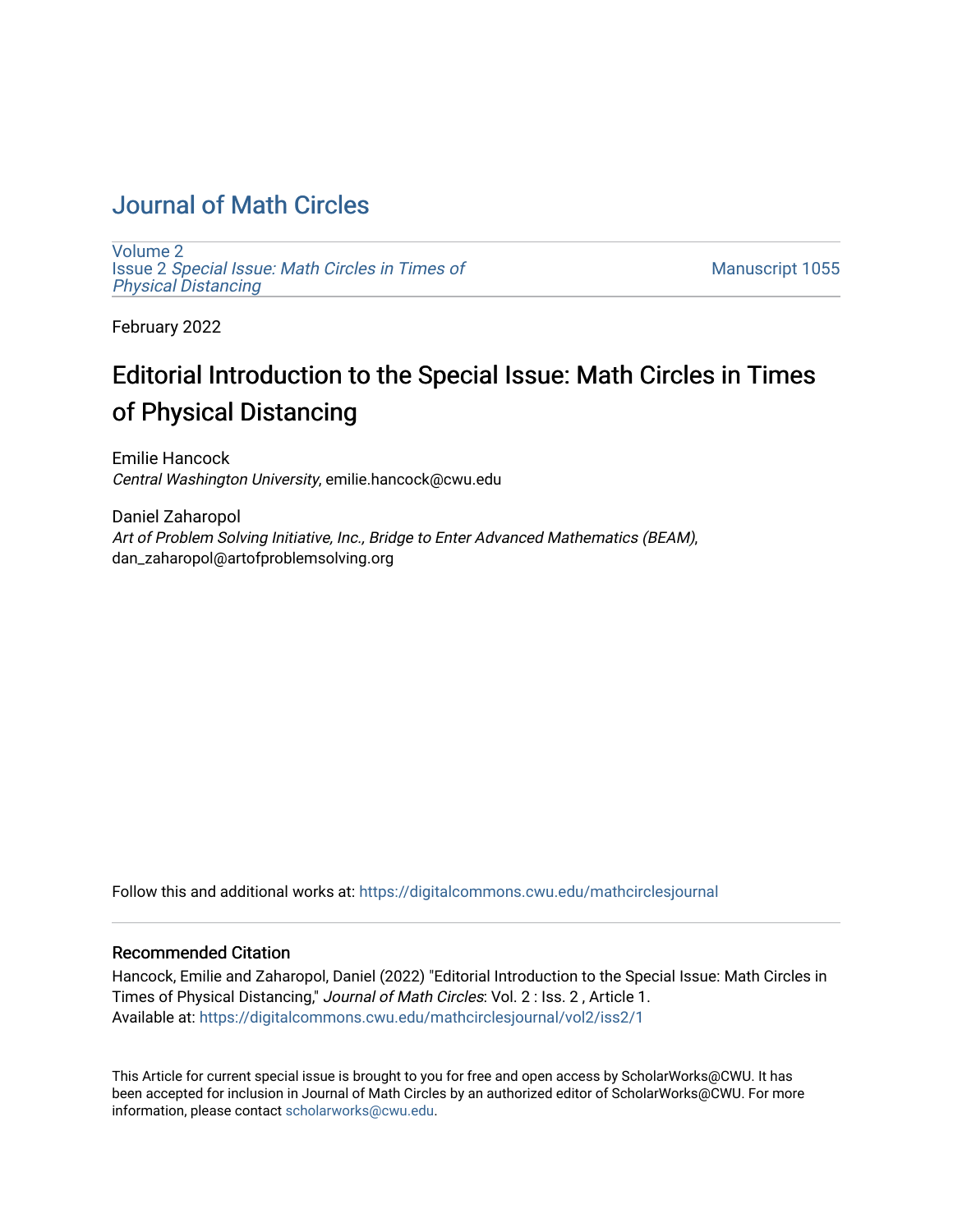## [Journal of Math Circles](https://digitalcommons.cwu.edu/mathcirclesjournal)

[Volume 2](https://digitalcommons.cwu.edu/mathcirclesjournal/vol2) Issue 2 [Special Issue: Math Circles in Times of](https://digitalcommons.cwu.edu/mathcirclesjournal/vol2/iss2)  [Physical Distancing](https://digitalcommons.cwu.edu/mathcirclesjournal/vol2/iss2) 

[Manuscript 1055](https://digitalcommons.cwu.edu/mathcirclesjournal/vol2/iss2/1) 

February 2022

## Editorial Introduction to the Special Issue: Math Circles in Times of Physical Distancing

Emilie Hancock Central Washington University, emilie.hancock@cwu.edu

Daniel Zaharopol Art of Problem Solving Initiative, Inc., Bridge to Enter Advanced Mathematics (BEAM), dan\_zaharopol@artofproblemsolving.org

Follow this and additional works at: [https://digitalcommons.cwu.edu/mathcirclesjournal](https://digitalcommons.cwu.edu/mathcirclesjournal?utm_source=digitalcommons.cwu.edu%2Fmathcirclesjournal%2Fvol2%2Fiss2%2F1&utm_medium=PDF&utm_campaign=PDFCoverPages) 

## Recommended Citation

Hancock, Emilie and Zaharopol, Daniel (2022) "Editorial Introduction to the Special Issue: Math Circles in Times of Physical Distancing," Journal of Math Circles: Vol. 2 : Iss. 2 , Article 1. Available at: [https://digitalcommons.cwu.edu/mathcirclesjournal/vol2/iss2/1](https://digitalcommons.cwu.edu/mathcirclesjournal/vol2/iss2/1?utm_source=digitalcommons.cwu.edu%2Fmathcirclesjournal%2Fvol2%2Fiss2%2F1&utm_medium=PDF&utm_campaign=PDFCoverPages) 

This Article for current special issue is brought to you for free and open access by ScholarWorks@CWU. It has been accepted for inclusion in Journal of Math Circles by an authorized editor of ScholarWorks@CWU. For more information, please contact [scholarworks@cwu.edu.](mailto:scholarworks@cwu.edu)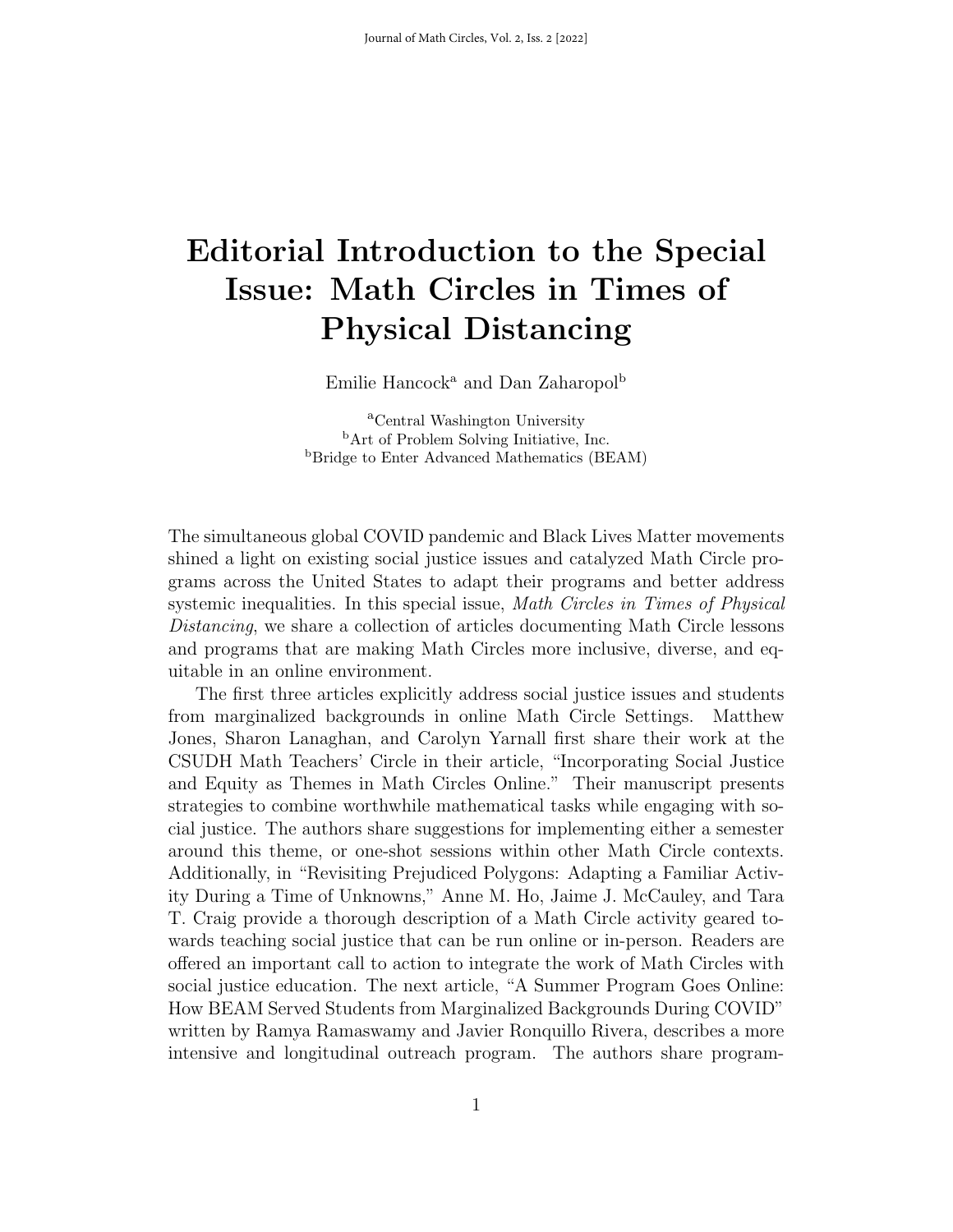## Editorial Introduction to the Special Issue: Math Circles in Times of Physical Distancing

Emilie Hancock<sup>a</sup> and Dan Zaharopol<sup>b</sup>

<sup>a</sup>Central Washington University <sup>b</sup>Art of Problem Solving Initiative, Inc. <sup>b</sup>Bridge to Enter Advanced Mathematics (BEAM)

The simultaneous global COVID pandemic and Black Lives Matter movements shined a light on existing social justice issues and catalyzed Math Circle programs across the United States to adapt their programs and better address systemic inequalities. In this special issue, *Math Circles in Times of Physical* Distancing, we share a collection of articles documenting Math Circle lessons and programs that are making Math Circles more inclusive, diverse, and equitable in an online environment.

The first three articles explicitly address social justice issues and students from marginalized backgrounds in online Math Circle Settings. Matthew Jones, Sharon Lanaghan, and Carolyn Yarnall first share their work at the CSUDH Math Teachers' Circle in their article, "Incorporating Social Justice and Equity as Themes in Math Circles Online." Their manuscript presents strategies to combine worthwhile mathematical tasks while engaging with social justice. The authors share suggestions for implementing either a semester around this theme, or one-shot sessions within other Math Circle contexts. Additionally, in "Revisiting Prejudiced Polygons: Adapting a Familiar Activity During a Time of Unknowns," Anne M. Ho, Jaime J. McCauley, and Tara T. Craig provide a thorough description of a Math Circle activity geared towards teaching social justice that can be run online or in-person. Readers are offered an important call to action to integrate the work of Math Circles with social justice education. The next article, "A Summer Program Goes Online: How BEAM Served Students from Marginalized Backgrounds During COVID" written by Ramya Ramaswamy and Javier Ronquillo Rivera, describes a more intensive and longitudinal outreach program. The authors share program